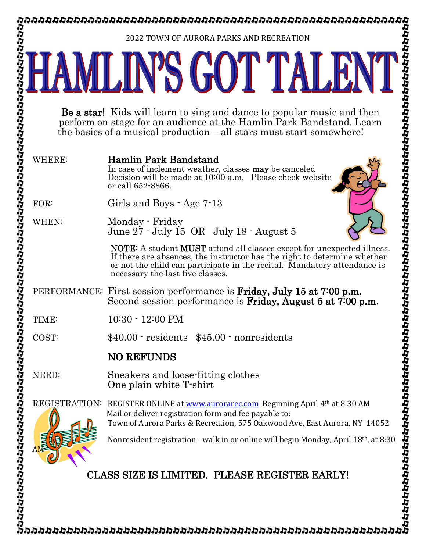